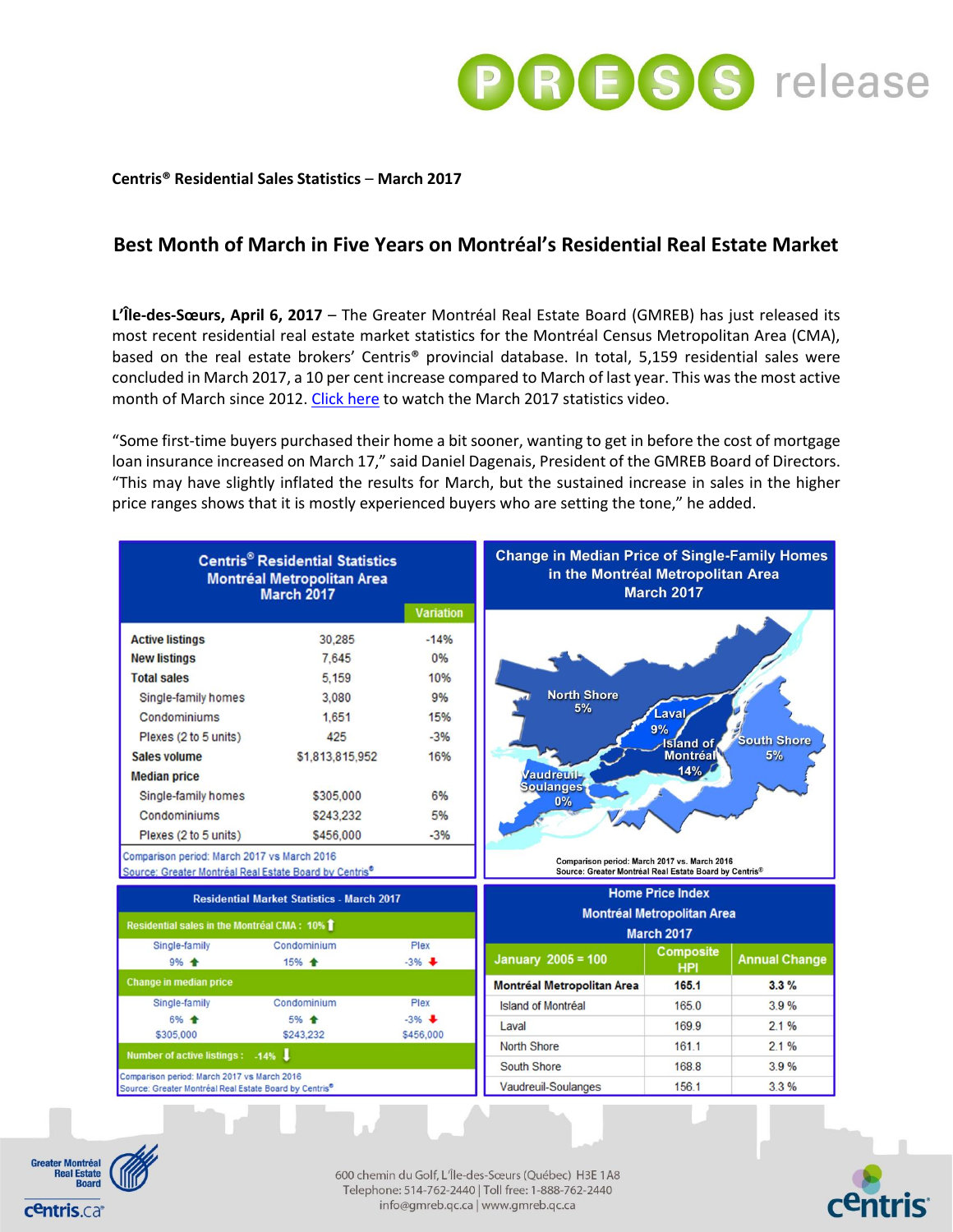

### **Centris® Residential Sales Statistics** – **March 2017**

# **Best Month of March in Five Years on Montréal's Residential Real Estate Market**

**L'Île-des-Sœurs, April 6, 2017** – The Greater Montréal Real Estate Board (GMREB) has just released its most recent residential real estate market statistics for the Montréal Census Metropolitan Area (CMA), based on the real estate brokers' Centris® provincial database. In total, 5,159 residential sales were concluded in March 2017, a 10 per cent increase compared to March of last year. This was the most active month of March since 2012. [Click here](https://youtu.be/ib6b3SWeVfA) to watch the March 2017 statistics video.

"Some first-time buyers purchased their home a bit sooner, wanting to get in before the cost of mortgage loan insurance increased on March 17," said Daniel Dagenais, President of the GMREB Board of Directors. "This may have slightly inflated the results for March, but the sustained increase in sales in the higher price ranges shows that it is mostly experienced buyers who are setting the tone," he added.





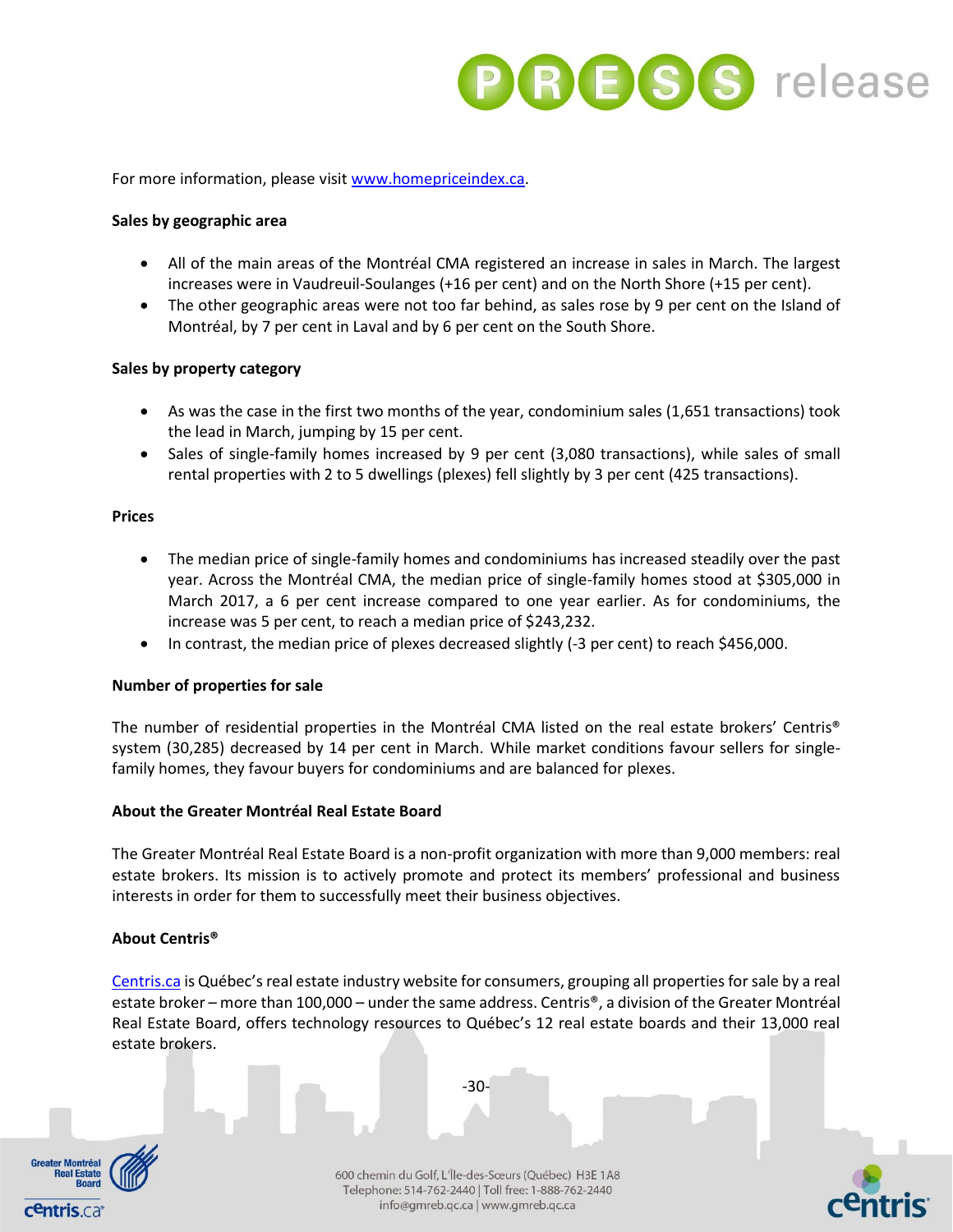

For more information, please visi[t www.homepriceindex.ca.](http://www.homepriceindex.ca/)

### **Sales by geographic area**

- All of the main areas of the Montréal CMA registered an increase in sales in March. The largest increases were in Vaudreuil-Soulanges (+16 per cent) and on the North Shore (+15 per cent).
- The other geographic areas were not too far behind, as sales rose by 9 per cent on the Island of Montréal, by 7 per cent in Laval and by 6 per cent on the South Shore.

### **Sales by property category**

- As was the case in the first two months of the year, condominium sales (1,651 transactions) took the lead in March, jumping by 15 per cent.
- Sales of single-family homes increased by 9 per cent (3,080 transactions), while sales of small rental properties with 2 to 5 dwellings (plexes) fell slightly by 3 per cent (425 transactions).

### **Prices**

- The median price of single-family homes and condominiums has increased steadily over the past year. Across the Montréal CMA, the median price of single-family homes stood at \$305,000 in March 2017, a 6 per cent increase compared to one year earlier. As for condominiums, the increase was 5 per cent, to reach a median price of \$243,232.
- In contrast, the median price of plexes decreased slightly (-3 per cent) to reach \$456,000.

## **Number of properties for sale**

The number of residential properties in the Montréal CMA listed on the real estate brokers' Centris® system (30,285) decreased by 14 per cent in March. While market conditions favour sellers for singlefamily homes, they favour buyers for condominiums and are balanced for plexes.

#### **About the Greater Montréal Real Estate Board**

The Greater Montréal Real Estate Board is a non-profit organization with more than 9,000 members: real estate brokers. Its mission is to actively promote and protect its members' professional and business interests in order for them to successfully meet their business objectives.

## **About Centris®**

[Centris.ca](http://www.centris.ca/) is Québec's real estate industry website for consumers, grouping all properties for sale by a real estate broker – more than 100,000 – under the same address. Centris®, a division of the Greater Montréal Real Estate Board, offers technology resources to Québec's 12 real estate boards and their 13,000 real estate brokers.

-30-



600 chemin du Golf, L'Île-des-Sœurs (Québec) H3E 1A8 Telephone: 514-762-2440 | Toll free: 1-888-762-2440 info@gmreb.qc.ca | www.gmreb.qc.ca